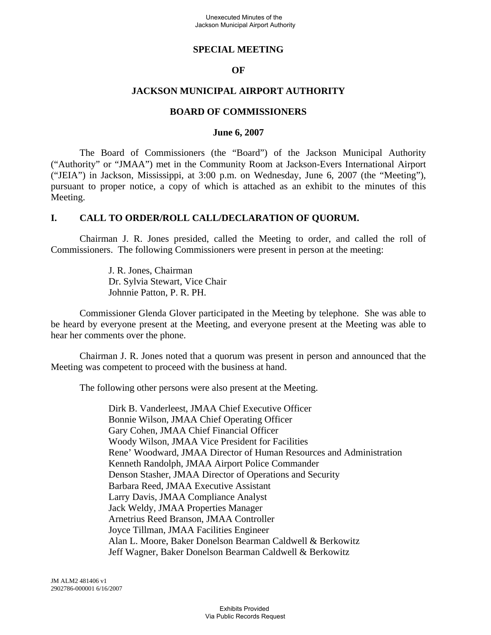#### **SPECIAL MEETING**

#### **OF**

#### **JACKSON MUNICIPAL AIRPORT AUTHORITY**

#### **BOARD OF COMMISSIONERS**

#### **June 6, 2007**

The Board of Commissioners (the "Board") of the Jackson Municipal Authority ("Authority" or "JMAA") met in the Community Room at Jackson-Evers International Airport ("JEIA") in Jackson, Mississippi, at 3:00 p.m. on Wednesday, June 6, 2007 (the "Meeting"), pursuant to proper notice, a copy of which is attached as an exhibit to the minutes of this Meeting.

#### **I. CALL TO ORDER/ROLL CALL/DECLARATION OF QUORUM.**

Chairman J. R. Jones presided, called the Meeting to order, and called the roll of Commissioners. The following Commissioners were present in person at the meeting:

> J. R. Jones, Chairman Dr. Sylvia Stewart, Vice Chair Johnnie Patton, P. R. PH.

Commissioner Glenda Glover participated in the Meeting by telephone. She was able to be heard by everyone present at the Meeting, and everyone present at the Meeting was able to hear her comments over the phone.

Chairman J. R. Jones noted that a quorum was present in person and announced that the Meeting was competent to proceed with the business at hand.

The following other persons were also present at the Meeting.

Dirk B. Vanderleest, JMAA Chief Executive Officer Bonnie Wilson, JMAA Chief Operating Officer Gary Cohen, JMAA Chief Financial Officer Woody Wilson, JMAA Vice President for Facilities Rene' Woodward, JMAA Director of Human Resources and Administration Kenneth Randolph, JMAA Airport Police Commander Denson Stasher, JMAA Director of Operations and Security Barbara Reed, JMAA Executive Assistant Larry Davis, JMAA Compliance Analyst Jack Weldy, JMAA Properties Manager Arnetrius Reed Branson, JMAA Controller Joyce Tillman, JMAA Facilities Engineer Alan L. Moore, Baker Donelson Bearman Caldwell & Berkowitz Jeff Wagner, Baker Donelson Bearman Caldwell & Berkowitz

JM ALM2 481406 v1 2902786-000001 6/16/2007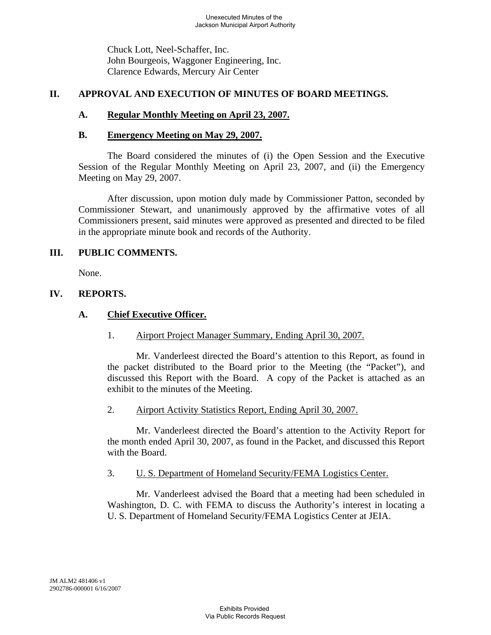Chuck Lott, Neel-Schaffer, Inc. John Bourgeois, Waggoner Engineering, Inc. Clarence Edwards, Mercury Air Center

## **II. APPROVAL AND EXECUTION OF MINUTES OF BOARD MEETINGS.**

### **A. Regular Monthly Meeting on April 23, 2007.**

#### **B. Emergency Meeting on May 29, 2007.**

The Board considered the minutes of (i) the Open Session and the Executive Session of the Regular Monthly Meeting on April 23, 2007, and (ii) the Emergency Meeting on May 29, 2007.

After discussion, upon motion duly made by Commissioner Patton, seconded by Commissioner Stewart, and unanimously approved by the affirmative votes of all Commissioners present, said minutes were approved as presented and directed to be filed in the appropriate minute book and records of the Authority.

### **III. PUBLIC COMMENTS.**

None.

### **IV. REPORTS.**

# **A. Chief Executive Officer.**

1. Airport Project Manager Summary, Ending April 30, 2007.

Mr. Vanderleest directed the Board's attention to this Report, as found in the packet distributed to the Board prior to the Meeting (the "Packet"), and discussed this Report with the Board. A copy of the Packet is attached as an exhibit to the minutes of the Meeting.

2. Airport Activity Statistics Report, Ending April 30, 2007.

Mr. Vanderleest directed the Board's attention to the Activity Report for the month ended April 30, 2007, as found in the Packet, and discussed this Report with the Board.

#### 3. U. S. Department of Homeland Security/FEMA Logistics Center.

Mr. Vanderleest advised the Board that a meeting had been scheduled in Washington, D. C. with FEMA to discuss the Authority's interest in locating a U. S. Department of Homeland Security/FEMA Logistics Center at JEIA.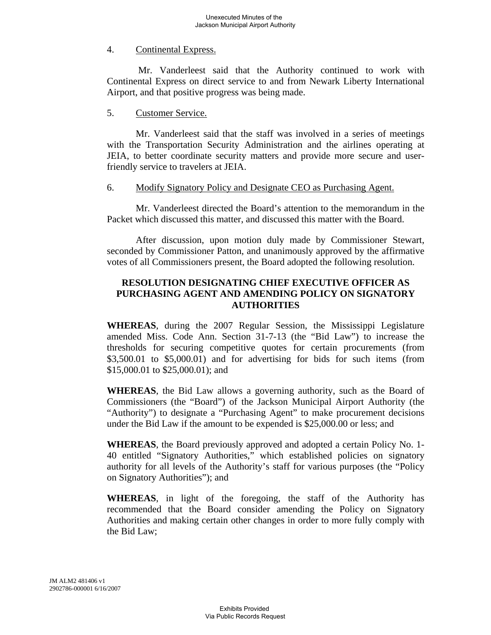# 4. Continental Express.

 Mr. Vanderleest said that the Authority continued to work with Continental Express on direct service to and from Newark Liberty International Airport, and that positive progress was being made.

#### 5. Customer Service.

Mr. Vanderleest said that the staff was involved in a series of meetings with the Transportation Security Administration and the airlines operating at JEIA, to better coordinate security matters and provide more secure and userfriendly service to travelers at JEIA.

#### 6. Modify Signatory Policy and Designate CEO as Purchasing Agent.

Mr. Vanderleest directed the Board's attention to the memorandum in the Packet which discussed this matter, and discussed this matter with the Board.

After discussion, upon motion duly made by Commissioner Stewart, seconded by Commissioner Patton, and unanimously approved by the affirmative votes of all Commissioners present, the Board adopted the following resolution.

### **RESOLUTION DESIGNATING CHIEF EXECUTIVE OFFICER AS PURCHASING AGENT AND AMENDING POLICY ON SIGNATORY AUTHORITIES**

**WHEREAS**, during the 2007 Regular Session, the Mississippi Legislature amended Miss. Code Ann. Section 31-7-13 (the "Bid Law") to increase the thresholds for securing competitive quotes for certain procurements (from \$3,500.01 to \$5,000.01) and for advertising for bids for such items (from \$15,000.01 to \$25,000.01); and

**WHEREAS**, the Bid Law allows a governing authority, such as the Board of Commissioners (the "Board") of the Jackson Municipal Airport Authority (the "Authority") to designate a "Purchasing Agent" to make procurement decisions under the Bid Law if the amount to be expended is \$25,000.00 or less; and

**WHEREAS**, the Board previously approved and adopted a certain Policy No. 1- 40 entitled "Signatory Authorities," which established policies on signatory authority for all levels of the Authority's staff for various purposes (the "Policy on Signatory Authorities"); and

**WHEREAS**, in light of the foregoing, the staff of the Authority has recommended that the Board consider amending the Policy on Signatory Authorities and making certain other changes in order to more fully comply with the Bid Law;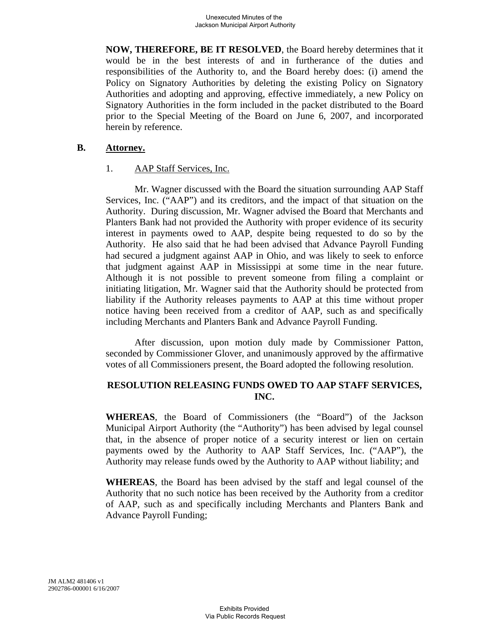**NOW, THEREFORE, BE IT RESOLVED**, the Board hereby determines that it would be in the best interests of and in furtherance of the duties and responsibilities of the Authority to, and the Board hereby does: (i) amend the Policy on Signatory Authorities by deleting the existing Policy on Signatory Authorities and adopting and approving, effective immediately, a new Policy on Signatory Authorities in the form included in the packet distributed to the Board prior to the Special Meeting of the Board on June 6, 2007, and incorporated herein by reference.

#### **B. Attorney.**

#### 1. AAP Staff Services, Inc.

Mr. Wagner discussed with the Board the situation surrounding AAP Staff Services, Inc. ("AAP") and its creditors, and the impact of that situation on the Authority. During discussion, Mr. Wagner advised the Board that Merchants and Planters Bank had not provided the Authority with proper evidence of its security interest in payments owed to AAP, despite being requested to do so by the Authority. He also said that he had been advised that Advance Payroll Funding had secured a judgment against AAP in Ohio, and was likely to seek to enforce that judgment against AAP in Mississippi at some time in the near future. Although it is not possible to prevent someone from filing a complaint or initiating litigation, Mr. Wagner said that the Authority should be protected from liability if the Authority releases payments to AAP at this time without proper notice having been received from a creditor of AAP, such as and specifically including Merchants and Planters Bank and Advance Payroll Funding.

After discussion, upon motion duly made by Commissioner Patton, seconded by Commissioner Glover, and unanimously approved by the affirmative votes of all Commissioners present, the Board adopted the following resolution.

# **RESOLUTION RELEASING FUNDS OWED TO AAP STAFF SERVICES, INC.**

**WHEREAS**, the Board of Commissioners (the "Board") of the Jackson Municipal Airport Authority (the "Authority") has been advised by legal counsel that, in the absence of proper notice of a security interest or lien on certain payments owed by the Authority to AAP Staff Services, Inc. ("AAP"), the Authority may release funds owed by the Authority to AAP without liability; and

**WHEREAS**, the Board has been advised by the staff and legal counsel of the Authority that no such notice has been received by the Authority from a creditor of AAP, such as and specifically including Merchants and Planters Bank and Advance Payroll Funding;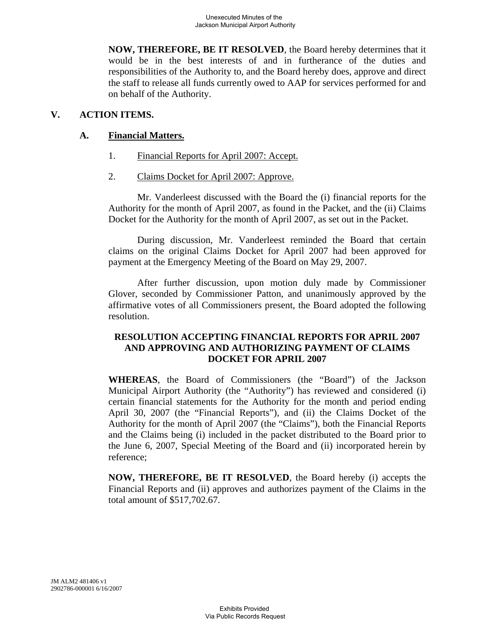**NOW, THEREFORE, BE IT RESOLVED**, the Board hereby determines that it would be in the best interests of and in furtherance of the duties and responsibilities of the Authority to, and the Board hereby does, approve and direct the staff to release all funds currently owed to AAP for services performed for and on behalf of the Authority.

# **V. ACTION ITEMS.**

# **A. Financial Matters.**

- 1. Financial Reports for April 2007: Accept.
- 2. Claims Docket for April 2007: Approve.

Mr. Vanderleest discussed with the Board the (i) financial reports for the Authority for the month of April 2007, as found in the Packet, and the (ii) Claims Docket for the Authority for the month of April 2007, as set out in the Packet.

During discussion, Mr. Vanderleest reminded the Board that certain claims on the original Claims Docket for April 2007 had been approved for payment at the Emergency Meeting of the Board on May 29, 2007.

After further discussion, upon motion duly made by Commissioner Glover, seconded by Commissioner Patton, and unanimously approved by the affirmative votes of all Commissioners present, the Board adopted the following resolution.

## **RESOLUTION ACCEPTING FINANCIAL REPORTS FOR APRIL 2007 AND APPROVING AND AUTHORIZING PAYMENT OF CLAIMS DOCKET FOR APRIL 2007**

**WHEREAS**, the Board of Commissioners (the "Board") of the Jackson Municipal Airport Authority (the "Authority") has reviewed and considered (i) certain financial statements for the Authority for the month and period ending April 30, 2007 (the "Financial Reports"), and (ii) the Claims Docket of the Authority for the month of April 2007 (the "Claims"), both the Financial Reports and the Claims being (i) included in the packet distributed to the Board prior to the June 6, 2007, Special Meeting of the Board and (ii) incorporated herein by reference;

**NOW, THEREFORE, BE IT RESOLVED**, the Board hereby (i) accepts the Financial Reports and (ii) approves and authorizes payment of the Claims in the total amount of \$517,702.67.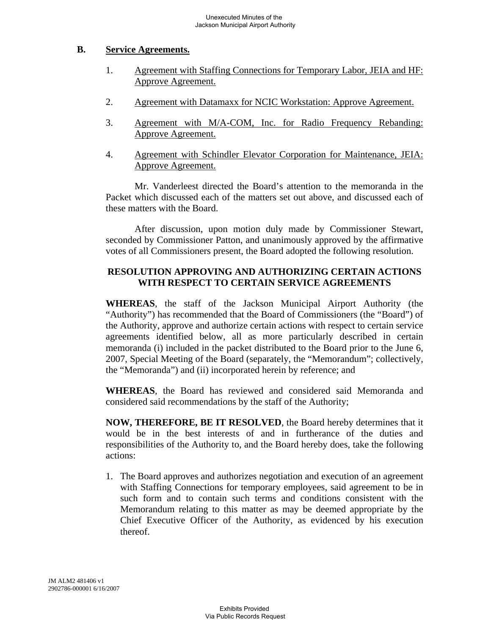## **B. Service Agreements.**

- 1. Agreement with Staffing Connections for Temporary Labor, JEIA and HF: Approve Agreement.
- 2. Agreement with Datamaxx for NCIC Workstation: Approve Agreement.
- 3. Agreement with M/A-COM, Inc. for Radio Frequency Rebanding: Approve Agreement.
- 4. Agreement with Schindler Elevator Corporation for Maintenance, JEIA: Approve Agreement.

Mr. Vanderleest directed the Board's attention to the memoranda in the Packet which discussed each of the matters set out above, and discussed each of these matters with the Board.

After discussion, upon motion duly made by Commissioner Stewart, seconded by Commissioner Patton, and unanimously approved by the affirmative votes of all Commissioners present, the Board adopted the following resolution.

# **RESOLUTION APPROVING AND AUTHORIZING CERTAIN ACTIONS WITH RESPECT TO CERTAIN SERVICE AGREEMENTS**

**WHEREAS**, the staff of the Jackson Municipal Airport Authority (the "Authority") has recommended that the Board of Commissioners (the "Board") of the Authority, approve and authorize certain actions with respect to certain service agreements identified below, all as more particularly described in certain memoranda (i) included in the packet distributed to the Board prior to the June 6, 2007, Special Meeting of the Board (separately, the "Memorandum"; collectively, the "Memoranda") and (ii) incorporated herein by reference; and

**WHEREAS**, the Board has reviewed and considered said Memoranda and considered said recommendations by the staff of the Authority;

**NOW, THEREFORE, BE IT RESOLVED**, the Board hereby determines that it would be in the best interests of and in furtherance of the duties and responsibilities of the Authority to, and the Board hereby does, take the following actions:

1. The Board approves and authorizes negotiation and execution of an agreement with Staffing Connections for temporary employees, said agreement to be in such form and to contain such terms and conditions consistent with the Memorandum relating to this matter as may be deemed appropriate by the Chief Executive Officer of the Authority, as evidenced by his execution thereof.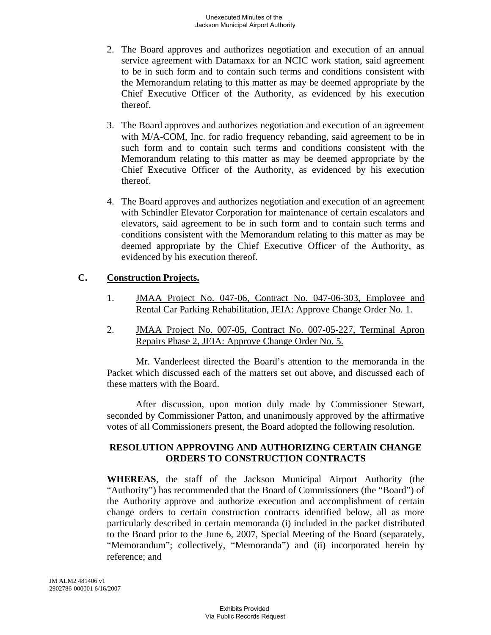- 2. The Board approves and authorizes negotiation and execution of an annual service agreement with Datamaxx for an NCIC work station, said agreement to be in such form and to contain such terms and conditions consistent with the Memorandum relating to this matter as may be deemed appropriate by the Chief Executive Officer of the Authority, as evidenced by his execution thereof.
- 3. The Board approves and authorizes negotiation and execution of an agreement with M/A-COM, Inc. for radio frequency rebanding, said agreement to be in such form and to contain such terms and conditions consistent with the Memorandum relating to this matter as may be deemed appropriate by the Chief Executive Officer of the Authority, as evidenced by his execution thereof.
- 4. The Board approves and authorizes negotiation and execution of an agreement with Schindler Elevator Corporation for maintenance of certain escalators and elevators, said agreement to be in such form and to contain such terms and conditions consistent with the Memorandum relating to this matter as may be deemed appropriate by the Chief Executive Officer of the Authority, as evidenced by his execution thereof.

### **C. Construction Projects.**

- 1. **JMAA Project No. 047-06, Contract No. 047-06-303, Employee and** Rental Car Parking Rehabilitation, JEIA: Approve Change Order No. 1.
- 2. JMAA Project No. 007-05, Contract No. 007-05-227, Terminal Apron Repairs Phase 2, JEIA: Approve Change Order No. 5.

Mr. Vanderleest directed the Board's attention to the memoranda in the Packet which discussed each of the matters set out above, and discussed each of these matters with the Board.

After discussion, upon motion duly made by Commissioner Stewart, seconded by Commissioner Patton, and unanimously approved by the affirmative votes of all Commissioners present, the Board adopted the following resolution.

# **RESOLUTION APPROVING AND AUTHORIZING CERTAIN CHANGE ORDERS TO CONSTRUCTION CONTRACTS**

**WHEREAS**, the staff of the Jackson Municipal Airport Authority (the "Authority") has recommended that the Board of Commissioners (the "Board") of the Authority approve and authorize execution and accomplishment of certain change orders to certain construction contracts identified below, all as more particularly described in certain memoranda (i) included in the packet distributed to the Board prior to the June 6, 2007, Special Meeting of the Board (separately, "Memorandum"; collectively, "Memoranda") and (ii) incorporated herein by reference; and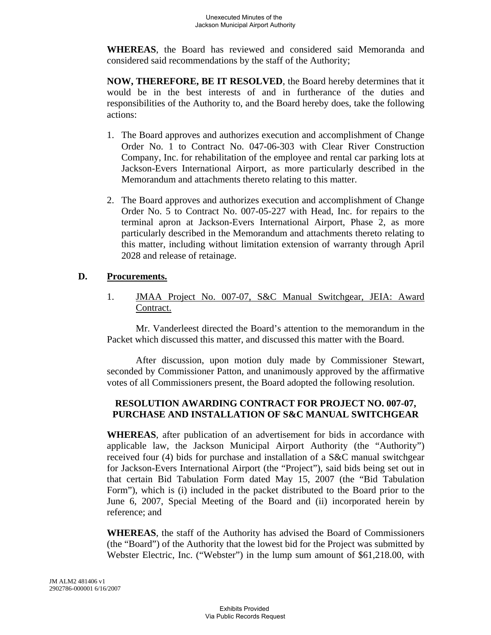**WHEREAS**, the Board has reviewed and considered said Memoranda and considered said recommendations by the staff of the Authority;

**NOW, THEREFORE, BE IT RESOLVED**, the Board hereby determines that it would be in the best interests of and in furtherance of the duties and responsibilities of the Authority to, and the Board hereby does, take the following actions:

- 1. The Board approves and authorizes execution and accomplishment of Change Order No. 1 to Contract No. 047-06-303 with Clear River Construction Company, Inc. for rehabilitation of the employee and rental car parking lots at Jackson-Evers International Airport, as more particularly described in the Memorandum and attachments thereto relating to this matter.
- 2. The Board approves and authorizes execution and accomplishment of Change Order No. 5 to Contract No. 007-05-227 with Head, Inc. for repairs to the terminal apron at Jackson-Evers International Airport, Phase 2, as more particularly described in the Memorandum and attachments thereto relating to this matter, including without limitation extension of warranty through April 2028 and release of retainage.

### **D. Procurements.**

1. JMAA Project No. 007-07, S&C Manual Switchgear, JEIA: Award Contract.

Mr. Vanderleest directed the Board's attention to the memorandum in the Packet which discussed this matter, and discussed this matter with the Board.

After discussion, upon motion duly made by Commissioner Stewart, seconded by Commissioner Patton, and unanimously approved by the affirmative votes of all Commissioners present, the Board adopted the following resolution.

# **RESOLUTION AWARDING CONTRACT FOR PROJECT NO. 007-07, PURCHASE AND INSTALLATION OF S&C MANUAL SWITCHGEAR**

**WHEREAS**, after publication of an advertisement for bids in accordance with applicable law, the Jackson Municipal Airport Authority (the "Authority") received four (4) bids for purchase and installation of a S&C manual switchgear for Jackson-Evers International Airport (the "Project"), said bids being set out in that certain Bid Tabulation Form dated May 15, 2007 (the "Bid Tabulation Form"), which is (i) included in the packet distributed to the Board prior to the June 6, 2007, Special Meeting of the Board and (ii) incorporated herein by reference; and

**WHEREAS**, the staff of the Authority has advised the Board of Commissioners (the "Board") of the Authority that the lowest bid for the Project was submitted by Webster Electric, Inc. ("Webster") in the lump sum amount of \$61,218.00, with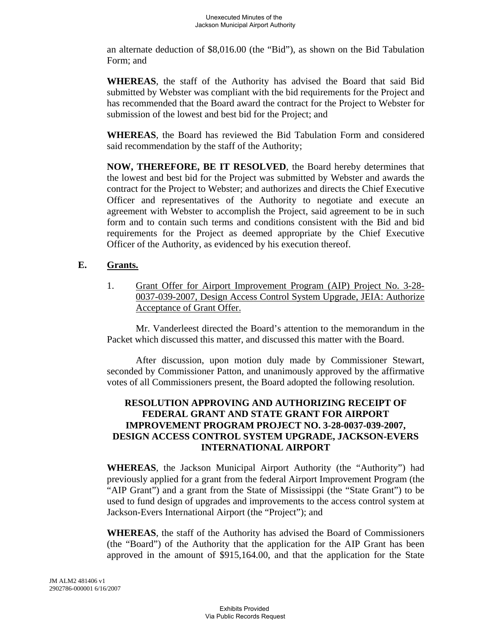an alternate deduction of \$8,016.00 (the "Bid"), as shown on the Bid Tabulation Form; and

**WHEREAS**, the staff of the Authority has advised the Board that said Bid submitted by Webster was compliant with the bid requirements for the Project and has recommended that the Board award the contract for the Project to Webster for submission of the lowest and best bid for the Project; and

**WHEREAS**, the Board has reviewed the Bid Tabulation Form and considered said recommendation by the staff of the Authority;

**NOW, THEREFORE, BE IT RESOLVED**, the Board hereby determines that the lowest and best bid for the Project was submitted by Webster and awards the contract for the Project to Webster; and authorizes and directs the Chief Executive Officer and representatives of the Authority to negotiate and execute an agreement with Webster to accomplish the Project, said agreement to be in such form and to contain such terms and conditions consistent with the Bid and bid requirements for the Project as deemed appropriate by the Chief Executive Officer of the Authority, as evidenced by his execution thereof.

# **E. Grants.**

1. Grant Offer for Airport Improvement Program (AIP) Project No. 3-28- 0037-039-2007, Design Access Control System Upgrade, JEIA: Authorize Acceptance of Grant Offer.

Mr. Vanderleest directed the Board's attention to the memorandum in the Packet which discussed this matter, and discussed this matter with the Board.

After discussion, upon motion duly made by Commissioner Stewart, seconded by Commissioner Patton, and unanimously approved by the affirmative votes of all Commissioners present, the Board adopted the following resolution.

# **RESOLUTION APPROVING AND AUTHORIZING RECEIPT OF FEDERAL GRANT AND STATE GRANT FOR AIRPORT IMPROVEMENT PROGRAM PROJECT NO. 3-28-0037-039-2007, DESIGN ACCESS CONTROL SYSTEM UPGRADE, JACKSON-EVERS INTERNATIONAL AIRPORT**

**WHEREAS**, the Jackson Municipal Airport Authority (the "Authority") had previously applied for a grant from the federal Airport Improvement Program (the "AIP Grant") and a grant from the State of Mississippi (the "State Grant") to be used to fund design of upgrades and improvements to the access control system at Jackson-Evers International Airport (the "Project"); and

**WHEREAS**, the staff of the Authority has advised the Board of Commissioners (the "Board") of the Authority that the application for the AIP Grant has been approved in the amount of \$915,164.00, and that the application for the State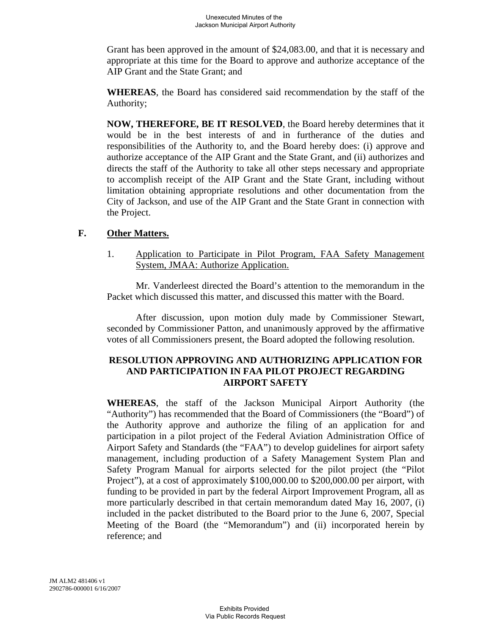Grant has been approved in the amount of \$24,083.00, and that it is necessary and appropriate at this time for the Board to approve and authorize acceptance of the AIP Grant and the State Grant; and

**WHEREAS**, the Board has considered said recommendation by the staff of the Authority;

**NOW, THEREFORE, BE IT RESOLVED**, the Board hereby determines that it would be in the best interests of and in furtherance of the duties and responsibilities of the Authority to, and the Board hereby does: (i) approve and authorize acceptance of the AIP Grant and the State Grant, and (ii) authorizes and directs the staff of the Authority to take all other steps necessary and appropriate to accomplish receipt of the AIP Grant and the State Grant, including without limitation obtaining appropriate resolutions and other documentation from the City of Jackson, and use of the AIP Grant and the State Grant in connection with the Project.

### **F. Other Matters.**

1. Application to Participate in Pilot Program, FAA Safety Management System, JMAA: Authorize Application.

Mr. Vanderleest directed the Board's attention to the memorandum in the Packet which discussed this matter, and discussed this matter with the Board.

After discussion, upon motion duly made by Commissioner Stewart, seconded by Commissioner Patton, and unanimously approved by the affirmative votes of all Commissioners present, the Board adopted the following resolution.

## **RESOLUTION APPROVING AND AUTHORIZING APPLICATION FOR AND PARTICIPATION IN FAA PILOT PROJECT REGARDING AIRPORT SAFETY**

**WHEREAS**, the staff of the Jackson Municipal Airport Authority (the "Authority") has recommended that the Board of Commissioners (the "Board") of the Authority approve and authorize the filing of an application for and participation in a pilot project of the Federal Aviation Administration Office of Airport Safety and Standards (the "FAA") to develop guidelines for airport safety management, including production of a Safety Management System Plan and Safety Program Manual for airports selected for the pilot project (the "Pilot Project"), at a cost of approximately \$100,000.00 to \$200,000.00 per airport, with funding to be provided in part by the federal Airport Improvement Program, all as more particularly described in that certain memorandum dated May 16, 2007, (i) included in the packet distributed to the Board prior to the June 6, 2007, Special Meeting of the Board (the "Memorandum") and (ii) incorporated herein by reference; and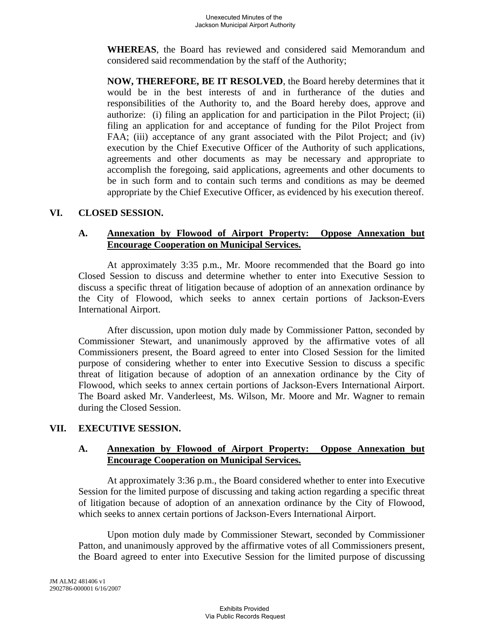**WHEREAS**, the Board has reviewed and considered said Memorandum and considered said recommendation by the staff of the Authority;

**NOW, THEREFORE, BE IT RESOLVED**, the Board hereby determines that it would be in the best interests of and in furtherance of the duties and responsibilities of the Authority to, and the Board hereby does, approve and authorize: (i) filing an application for and participation in the Pilot Project; (ii) filing an application for and acceptance of funding for the Pilot Project from FAA; (iii) acceptance of any grant associated with the Pilot Project; and (iv) execution by the Chief Executive Officer of the Authority of such applications, agreements and other documents as may be necessary and appropriate to accomplish the foregoing, said applications, agreements and other documents to be in such form and to contain such terms and conditions as may be deemed appropriate by the Chief Executive Officer, as evidenced by his execution thereof.

### **VI. CLOSED SESSION.**

### **A. Annexation by Flowood of Airport Property: Oppose Annexation but Encourage Cooperation on Municipal Services.**

At approximately 3:35 p.m., Mr. Moore recommended that the Board go into Closed Session to discuss and determine whether to enter into Executive Session to discuss a specific threat of litigation because of adoption of an annexation ordinance by the City of Flowood, which seeks to annex certain portions of Jackson-Evers International Airport.

After discussion, upon motion duly made by Commissioner Patton, seconded by Commissioner Stewart, and unanimously approved by the affirmative votes of all Commissioners present, the Board agreed to enter into Closed Session for the limited purpose of considering whether to enter into Executive Session to discuss a specific threat of litigation because of adoption of an annexation ordinance by the City of Flowood, which seeks to annex certain portions of Jackson-Evers International Airport. The Board asked Mr. Vanderleest, Ms. Wilson, Mr. Moore and Mr. Wagner to remain during the Closed Session.

# **VII. EXECUTIVE SESSION.**

### **A. Annexation by Flowood of Airport Property: Oppose Annexation but Encourage Cooperation on Municipal Services.**

At approximately 3:36 p.m., the Board considered whether to enter into Executive Session for the limited purpose of discussing and taking action regarding a specific threat of litigation because of adoption of an annexation ordinance by the City of Flowood, which seeks to annex certain portions of Jackson-Evers International Airport.

Upon motion duly made by Commissioner Stewart, seconded by Commissioner Patton, and unanimously approved by the affirmative votes of all Commissioners present, the Board agreed to enter into Executive Session for the limited purpose of discussing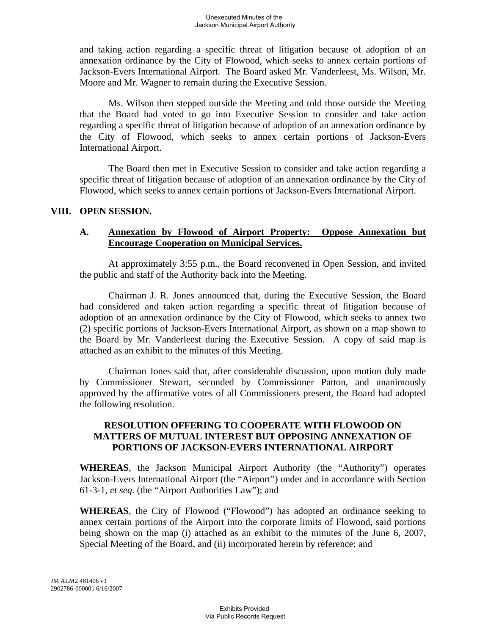and taking action regarding a specific threat of litigation because of adoption of an annexation ordinance by the City of Flowood, which seeks to annex certain portions of Jackson-Evers International Airport. The Board asked Mr. Vanderleest, Ms. Wilson, Mr. Moore and Mr. Wagner to remain during the Executive Session.

Ms. Wilson then stepped outside the Meeting and told those outside the Meeting that the Board had voted to go into Executive Session to consider and take action regarding a specific threat of litigation because of adoption of an annexation ordinance by the City of Flowood, which seeks to annex certain portions of Jackson-Evers International Airport.

The Board then met in Executive Session to consider and take action regarding a specific threat of litigation because of adoption of an annexation ordinance by the City of Flowood, which seeks to annex certain portions of Jackson-Evers International Airport.

# **VIII. OPEN SESSION.**

#### **A. Annexation by Flowood of Airport Property: Oppose Annexation but Encourage Cooperation on Municipal Services.**

At approximately 3:55 p.m., the Board reconvened in Open Session, and invited the public and staff of the Authority back into the Meeting.

Chairman J. R. Jones announced that, during the Executive Session, the Board had considered and taken action regarding a specific threat of litigation because of adoption of an annexation ordinance by the City of Flowood, which seeks to annex two (2) specific portions of Jackson-Evers International Airport, as shown on a map shown to the Board by Mr. Vanderleest during the Executive Session. A copy of said map is attached as an exhibit to the minutes of this Meeting.

Chairman Jones said that, after considerable discussion, upon motion duly made by Commissioner Stewart, seconded by Commissioner Patton, and unanimously approved by the affirmative votes of all Commissioners present, the Board had adopted the following resolution.

## **RESOLUTION OFFERING TO COOPERATE WITH FLOWOOD ON MATTERS OF MUTUAL INTEREST BUT OPPOSING ANNEXATION OF PORTIONS OF JACKSON-EVERS INTERNATIONAL AIRPORT**

**WHEREAS**, the Jackson Municipal Airport Authority (the "Authority") operates Jackson-Evers International Airport (the "Airport") under and in accordance with Section 61-3-1, *et seq.* (the "Airport Authorities Law"); and

**WHEREAS**, the City of Flowood ("Flowood") has adopted an ordinance seeking to annex certain portions of the Airport into the corporate limits of Flowood, said portions being shown on the map (i) attached as an exhibit to the minutes of the June 6, 2007, Special Meeting of the Board, and (ii) incorporated herein by reference; and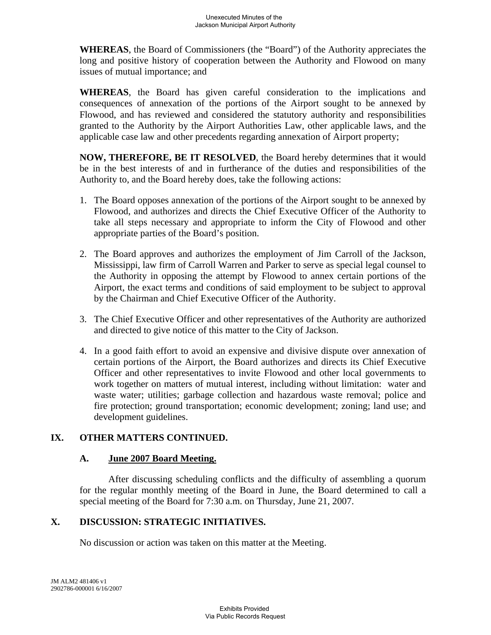**WHEREAS**, the Board of Commissioners (the "Board") of the Authority appreciates the long and positive history of cooperation between the Authority and Flowood on many issues of mutual importance; and

**WHEREAS**, the Board has given careful consideration to the implications and consequences of annexation of the portions of the Airport sought to be annexed by Flowood, and has reviewed and considered the statutory authority and responsibilities granted to the Authority by the Airport Authorities Law, other applicable laws, and the applicable case law and other precedents regarding annexation of Airport property;

**NOW, THEREFORE, BE IT RESOLVED**, the Board hereby determines that it would be in the best interests of and in furtherance of the duties and responsibilities of the Authority to, and the Board hereby does, take the following actions:

- 1. The Board opposes annexation of the portions of the Airport sought to be annexed by Flowood, and authorizes and directs the Chief Executive Officer of the Authority to take all steps necessary and appropriate to inform the City of Flowood and other appropriate parties of the Board's position.
- 2. The Board approves and authorizes the employment of Jim Carroll of the Jackson, Mississippi, law firm of Carroll Warren and Parker to serve as special legal counsel to the Authority in opposing the attempt by Flowood to annex certain portions of the Airport, the exact terms and conditions of said employment to be subject to approval by the Chairman and Chief Executive Officer of the Authority.
- 3. The Chief Executive Officer and other representatives of the Authority are authorized and directed to give notice of this matter to the City of Jackson.
- 4. In a good faith effort to avoid an expensive and divisive dispute over annexation of certain portions of the Airport, the Board authorizes and directs its Chief Executive Officer and other representatives to invite Flowood and other local governments to work together on matters of mutual interest, including without limitation: water and waste water; utilities; garbage collection and hazardous waste removal; police and fire protection; ground transportation; economic development; zoning; land use; and development guidelines.

# **IX. OTHER MATTERS CONTINUED.**

# **A. June 2007 Board Meeting.**

After discussing scheduling conflicts and the difficulty of assembling a quorum for the regular monthly meeting of the Board in June, the Board determined to call a special meeting of the Board for 7:30 a.m. on Thursday, June 21, 2007.

# **X. DISCUSSION: STRATEGIC INITIATIVES.**

No discussion or action was taken on this matter at the Meeting.